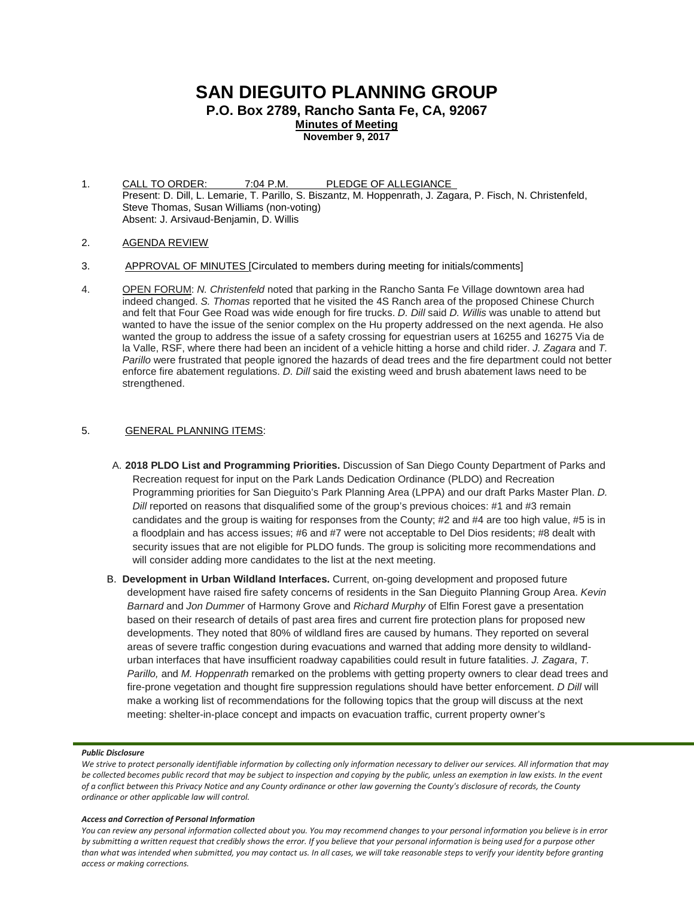# **SAN DIEGUITO PLANNING GROUP**

**P.O. Box 2789, Rancho Santa Fe, CA, 92067**

**Minutes of Meeting November 9, 2017**

1. CALL TO ORDER: 7:04 P.M. PLEDGE OF ALLEGIANCE Present: D. Dill, L. Lemarie, T. Parillo, S. Biszantz, M. Hoppenrath, J. Zagara, P. Fisch, N. Christenfeld, Steve Thomas, Susan Williams (non-voting) Absent: J. Arsivaud-Benjamin, D. Willis

- 2. AGENDA REVIEW
- 3. APPROVAL OF MINUTES [Circulated to members during meeting for initials/comments]
- 4. OPEN FORUM: *N. Christenfeld* noted that parking in the Rancho Santa Fe Village downtown area had indeed changed. *S. Thomas* reported that he visited the 4S Ranch area of the proposed Chinese Church and felt that Four Gee Road was wide enough for fire trucks. *D. Dill* said *D. Willis* was unable to attend but wanted to have the issue of the senior complex on the Hu property addressed on the next agenda. He also wanted the group to address the issue of a safety crossing for equestrian users at 16255 and 16275 Via de la Valle, RSF, where there had been an incident of a vehicle hitting a horse and child rider. *J. Zagara* and *T. Parillo* were frustrated that people ignored the hazards of dead trees and the fire department could not better enforce fire abatement regulations. *D. Dill* said the existing weed and brush abatement laws need to be strengthened.

# 5. GENERAL PLANNING ITEMS:

- A. **2018 PLDO List and Programming Priorities.** Discussion of San Diego County Department of Parks and Recreation request for input on the Park Lands Dedication Ordinance (PLDO) and Recreation Programming priorities for San Dieguito's Park Planning Area (LPPA) and our draft Parks Master Plan. *D. Dill* reported on reasons that disqualified some of the group's previous choices: #1 and #3 remain candidates and the group is waiting for responses from the County; #2 and #4 are too high value, #5 is in a floodplain and has access issues; #6 and #7 were not acceptable to Del Dios residents; #8 dealt with security issues that are not eligible for PLDO funds. The group is soliciting more recommendations and will consider adding more candidates to the list at the next meeting.
- B. **Development in Urban Wildland Interfaces.** Current, on-going development and proposed future development have raised fire safety concerns of residents in the San Dieguito Planning Group Area. *Kevin Barnard* and *Jon Dummer* of Harmony Grove and *Richard Murphy* of Elfin Forest gave a presentation based on their research of details of past area fires and current fire protection plans for proposed new developments. They noted that 80% of wildland fires are caused by humans. They reported on several areas of severe traffic congestion during evacuations and warned that adding more density to wildlandurban interfaces that have insufficient roadway capabilities could result in future fatalities. *J. Zagara*, *T. Parillo,* and *M. Hoppenrath* remarked on the problems with getting property owners to clear dead trees and fire-prone vegetation and thought fire suppression regulations should have better enforcement. *D Dill* will make a working list of recommendations for the following topics that the group will discuss at the next meeting: shelter-in-place concept and impacts on evacuation traffic, current property owner's

## *Public Disclosure*

*We strive to protect personally identifiable information by collecting only information necessary to deliver our services. All information that may be collected becomes public record that may be subject to inspection and copying by the public, unless an exemption in law exists. In the event of a conflict between this Privacy Notice and any County ordinance or other law governing the County's disclosure of records, the County ordinance or other applicable law will control.*

#### *Access and Correction of Personal Information*

*You can review any personal information collected about you. You may recommend changes to your personal information you believe is in error by submitting a written request that credibly shows the error. If you believe that your personal information is being used for a purpose other than what was intended when submitted, you may contact us. In all cases, we will take reasonable steps to verify your identity before granting access or making corrections.*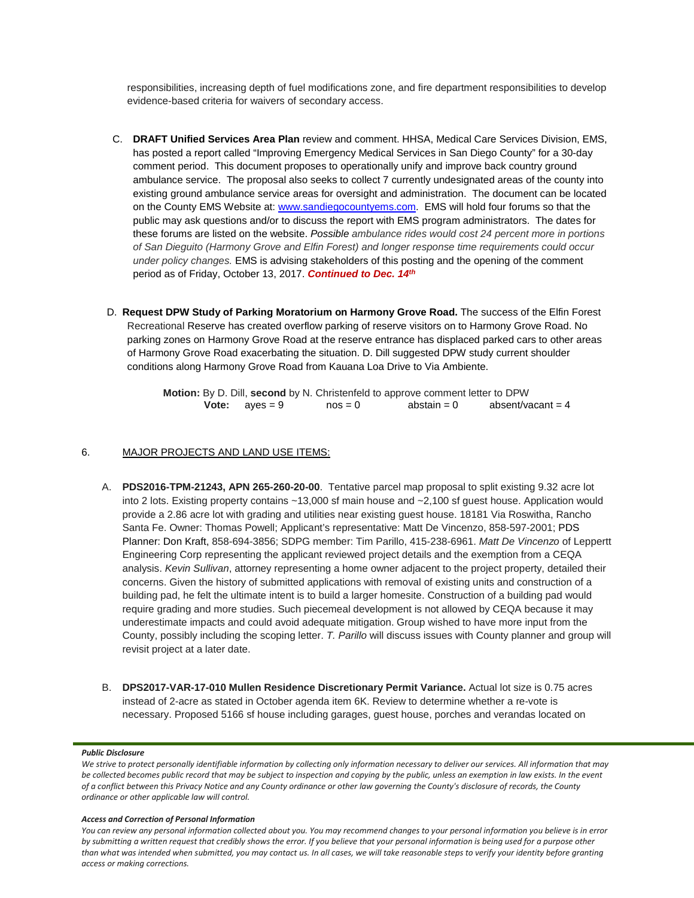responsibilities, increasing depth of fuel modifications zone, and fire department responsibilities to develop evidence-based criteria for waivers of secondary access.

- C. **DRAFT Unified Services Area Plan** review and comment. HHSA, Medical Care Services Division, EMS, has posted a report called "Improving Emergency Medical Services in San Diego County" for a 30-day comment period. This document proposes to operationally unify and improve back country ground ambulance service. The proposal also seeks to collect 7 currently undesignated areas of the county into existing ground ambulance service areas for oversight and administration. The document can be located on the County EMS Website at: [www.sandiegocountyems.com.](http://www.sandiegocountyems.com/) EMS will hold four forums so that the public may ask questions and/or to discuss the report with EMS program administrators. The dates for these forums are listed on the website. *Possible ambulance rides would cost 24 percent more in portions of San Dieguito (Harmony Grove and Elfin Forest) and longer response time requirements could occur under policy changes.* EMS is advising stakeholders of this posting and the opening of the comment period as of Friday, October 13, 2017. *Continued to Dec. 14th*
- D. **Request DPW Study of Parking Moratorium on Harmony Grove Road.** The success of the Elfin Forest Recreational Reserve has created overflow parking of reserve visitors on to Harmony Grove Road. No parking zones on Harmony Grove Road at the reserve entrance has displaced parked cars to other areas of Harmony Grove Road exacerbating the situation. D. Dill suggested DPW study current shoulder conditions along Harmony Grove Road from Kauana Loa Drive to Via Ambiente.

**Motion:** By D. Dill, **second** by N. Christenfeld to approve comment letter to DPW **Vote:**  $ayes = 9$   $nos = 0$   $abstain = 0$ 

# 6. MAJOR PROJECTS AND LAND USE ITEMS:

- A. **PDS2016-TPM-21243, APN 265-260-20-00**. Tentative parcel map proposal to split existing 9.32 acre lot into 2 lots. Existing property contains ~13,000 sf main house and ~2,100 sf guest house. Application would provide a 2.86 acre lot with grading and utilities near existing guest house. 18181 Via Roswitha, Rancho Santa Fe. Owner: Thomas Powell; Applicant's representative: Matt De Vincenzo, 858-597-2001; PDS Planner: Don Kraft, 858-694-3856; SDPG member: Tim Parillo[, 415-238-6961.](tel:415-238-6961) *Matt De Vincenzo* of Leppertt Engineering Corp representing the applicant reviewed project details and the exemption from a CEQA analysis. *Kevin Sullivan*, attorney representing a home owner adjacent to the project property, detailed their concerns. Given the history of submitted applications with removal of existing units and construction of a building pad, he felt the ultimate intent is to build a larger homesite. Construction of a building pad would require grading and more studies. Such piecemeal development is not allowed by CEQA because it may underestimate impacts and could avoid adequate mitigation. Group wished to have more input from the County, possibly including the scoping letter. *T. Parillo* will discuss issues with County planner and group will revisit project at a later date.
- B. **DPS2017-VAR-17-010 Mullen Residence Discretionary Permit Variance.** Actual lot size is 0.75 acres instead of 2-acre as stated in October agenda item 6K. Review to determine whether a re-vote is necessary. Proposed 5166 sf house including garages, guest house, porches and verandas located on

## *Public Disclosure*

#### *Access and Correction of Personal Information*

*You can review any personal information collected about you. You may recommend changes to your personal information you believe is in error by submitting a written request that credibly shows the error. If you believe that your personal information is being used for a purpose other than what was intended when submitted, you may contact us. In all cases, we will take reasonable steps to verify your identity before granting access or making corrections.*

*We strive to protect personally identifiable information by collecting only information necessary to deliver our services. All information that may be collected becomes public record that may be subject to inspection and copying by the public, unless an exemption in law exists. In the event of a conflict between this Privacy Notice and any County ordinance or other law governing the County's disclosure of records, the County ordinance or other applicable law will control.*